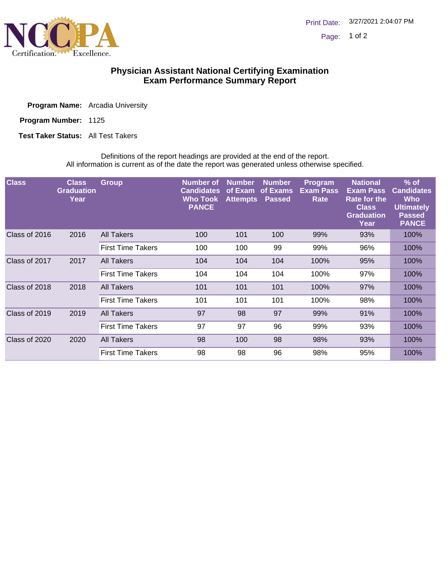

## **Physician Assistant National Certifying Examination Exam Performance Summary Report**

| <b>Program Name:</b> Arcadia University |  |  |
|-----------------------------------------|--|--|
|                                         |  |  |

Program Number: 1125

**Test Taker Status:** All Test Takers

Definitions of the report headings are provided at the end of the report. All information is current as of the date the report was generated unless otherwise specified.

| <b>Class</b>          | <b>Class</b><br><b>Graduation</b><br>Year | <b>Group</b>             | Number of<br><b>Candidates</b><br>Who Took<br><b>PANCE</b> | <b>Number</b><br>of Exam<br><b>Attempts</b> | <b>Number</b><br>of Exams<br><b>Passed</b> | Program<br><b>Exam Pass</b><br>Rate | <b>National</b><br><b>Exam Pass</b><br>Rate for the<br><b>Class</b><br><b>Graduation</b><br>Year | $%$ of<br><b>Candidates</b><br>Who<br><b>Ultimately</b><br><b>Passed</b><br><b>PANCE</b> |
|-----------------------|-------------------------------------------|--------------------------|------------------------------------------------------------|---------------------------------------------|--------------------------------------------|-------------------------------------|--------------------------------------------------------------------------------------------------|------------------------------------------------------------------------------------------|
| Class of 2016<br>2016 |                                           | All Takers               | 100                                                        | 101                                         | 100                                        | 99%                                 | 93%                                                                                              | 100%                                                                                     |
|                       |                                           | <b>First Time Takers</b> | 100                                                        | 100                                         | 99                                         | 99%                                 | 96%                                                                                              | 100%                                                                                     |
| Class of 2017         | 2017                                      | All Takers               | 104                                                        | 104                                         | 104                                        | 100%                                | 95%                                                                                              | 100%                                                                                     |
|                       |                                           | <b>First Time Takers</b> | 104                                                        | 104                                         | 104                                        | 100%                                | 97%                                                                                              | 100%                                                                                     |
| Class of 2018         | 2018                                      | All Takers               | 101                                                        | 101                                         | 101                                        | 100%                                | 97%                                                                                              | 100%                                                                                     |
|                       |                                           | <b>First Time Takers</b> | 101                                                        | 101                                         | 101                                        | 100%                                | 98%                                                                                              | 100%                                                                                     |
| Class of 2019         | 2019                                      | <b>All Takers</b>        | 97                                                         | 98                                          | 97                                         | 99%                                 | 91%                                                                                              | 100%                                                                                     |
|                       |                                           | <b>First Time Takers</b> | 97                                                         | 97                                          | 96                                         | 99%                                 | 93%                                                                                              | 100%                                                                                     |
| Class of 2020         | 2020                                      | All Takers               | 98                                                         | 100                                         | 98                                         | 98%                                 | 93%                                                                                              | 100%                                                                                     |
|                       |                                           | <b>First Time Takers</b> | 98                                                         | 98                                          | 96                                         | 98%                                 | 95%                                                                                              | 100%                                                                                     |